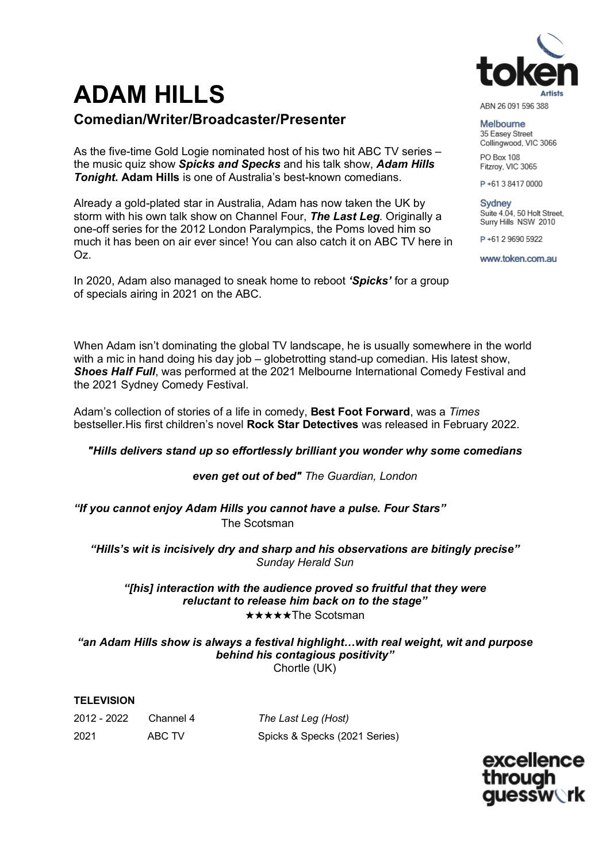# **ADAM HILLS**

# **Comedian/Writer/Broadcaster/Presenter**

As the five-time Gold Logie nominated host of his two hit ABC TV series – the music quiz show *Spicks and Specks* and his talk show, *Adam Hills Tonight***. Adam Hills** is one of Australia's best-known comedians.

Already a gold-plated star in Australia, Adam has now taken the UK by storm with his own talk show on Channel Four, *The Last Leg*. Originally a one-off series for the 2012 London Paralympics, the Poms loved him so much it has been on air ever since! You can also catch it on ABC TV here in Oz.

In 2020, Adam also managed to sneak home to reboot *'Spicks'* for a group of specials airing in 2021 on the ABC.

When Adam isn't dominating the global TV landscape, he is usually somewhere in the world with a mic in hand doing his day job – globetrotting stand-up comedian. His latest show, *Shoes Half Full*, was performed at the 2021 Melbourne International Comedy Festival and the 2021 Sydney Comedy Festival.

Adam's collection of stories of a life in comedy, **Best Foot Forward**, was a *Times* bestseller.His first children's novel **Rock Star Detectives** was released in February 2022.

# *"Hills delivers stand up so effortlessly brilliant you wonder why some comedians*

# *even get out of bed" The Guardian, London*

*"If you cannot enjoy Adam Hills you cannot have a pulse. Four Stars"*  The Scotsman

*"Hills's wit is incisively dry and sharp and his observations are bitingly precise" Sunday Herald Sun*

# *"[his] interaction with the audience proved so fruitful that they were reluctant to release him back on to the stage"* ★★★★★The Scotsman

*"an Adam Hills show is always a festival highlight…with real weight, wit and purpose behind his contagious positivity"* Chortle (UK)

#### **TELEVISION**

| 2012 - 2022 | Channel 4 | Tł |
|-------------|-----------|----|
| 2021        | ABC TV    | S  |

2012 - 2022 Channel 4 *The Last Leg (Host)* picks & Specks (2021 Series)

> excellence **auessw\`rk**



ABN 26 091 596 388

Melbourne 35 Easey Street Collingwood, VIC 3066

PO Box 108 Fitzroy, VIC 3065

P+61384170000

Sydney Suite 4.04, 50 Holt Street, Surry Hills NSW 2010

P+61 2 9690 5922

www.token.com.au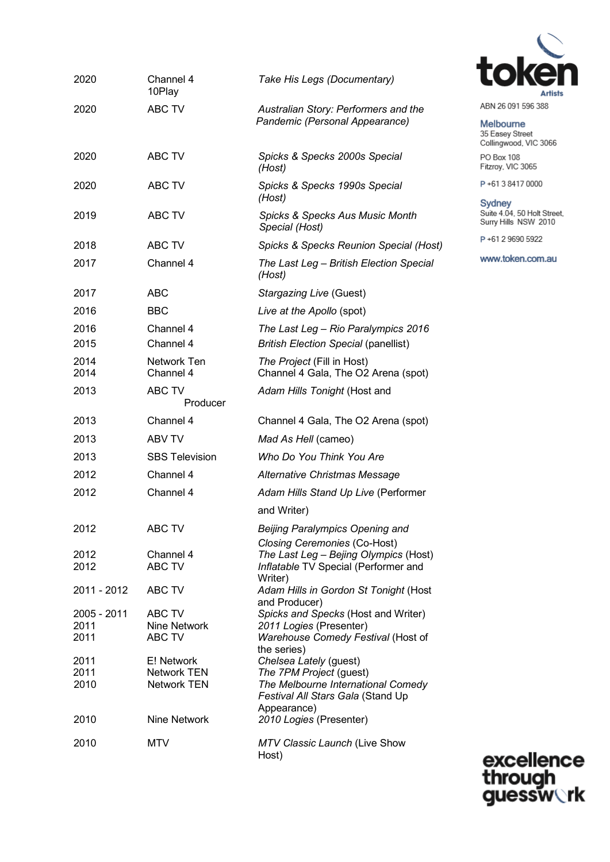| 2020                        | Channel 4<br>10Play                             | Take His Legs (Documentary)                                                                                                                 |
|-----------------------------|-------------------------------------------------|---------------------------------------------------------------------------------------------------------------------------------------------|
| 2020                        | <b>ABC TV</b>                                   | Australian Story: Performers and the<br>Pandemic (Personal Appearance)                                                                      |
| 2020                        | ABC TV                                          | Spicks & Specks 2000s Special<br>(Host)                                                                                                     |
| 2020                        | ABC TV                                          | Spicks & Specks 1990s Special<br>(Host)                                                                                                     |
| 2019                        | ABC TV                                          | <b>Spicks &amp; Specks Aus Music Month</b><br>Special (Host)                                                                                |
| 2018                        | ABC TV                                          | Spicks & Specks Reunion Special (Host)                                                                                                      |
| 2017                        | Channel 4                                       | The Last Leg - British Election Special<br>(Host)                                                                                           |
| 2017                        | <b>ABC</b>                                      | Stargazing Live (Guest)                                                                                                                     |
| 2016                        | <b>BBC</b>                                      | Live at the Apollo (spot)                                                                                                                   |
| 2016                        | Channel 4                                       | The Last Leg - Rio Paralympics 2016                                                                                                         |
| 2015                        | Channel 4                                       | <b>British Election Special (panellist)</b>                                                                                                 |
| 2014<br>2014                | Network Ten<br>Channel 4                        | The Project (Fill in Host)<br>Channel 4 Gala, The O2 Arena (spot)                                                                           |
| 2013                        | ABC TV<br>Producer                              | Adam Hills Tonight (Host and                                                                                                                |
| 2013                        | Channel 4                                       | Channel 4 Gala, The O2 Arena (spot)                                                                                                         |
| 2013                        | ABV TV                                          | Mad As Hell (cameo)                                                                                                                         |
| 2013                        | <b>SBS Television</b>                           | Who Do You Think You Are                                                                                                                    |
| 2012                        | Channel 4                                       | <b>Alternative Christmas Message</b>                                                                                                        |
| 2012                        | Channel 4                                       | Adam Hills Stand Up Live (Performer                                                                                                         |
|                             |                                                 | and Writer)                                                                                                                                 |
| 2012                        | ABC TV                                          | Beijing Paralympics Opening and                                                                                                             |
| 2012<br>2012                | Channel 4<br>ABC TV                             | <b>Closing Ceremonies (Co-Host)</b><br>The Last Leg - Bejing Olympics (Host)<br>Inflatable TV Special (Performer and<br>Writer)             |
| 2011 - 2012                 | ABC TV                                          | Adam Hills in Gordon St Tonight (Host<br>and Producer)                                                                                      |
| 2005 - 2011<br>2011<br>2011 | ABC TV<br>Nine Network<br>ABC TV                | Spicks and Specks (Host and Writer)<br>2011 Logies (Presenter)<br>Warehouse Comedy Festival (Host of                                        |
| 2011<br>2011<br>2010        | E! Network<br>Network TEN<br><b>Network TEN</b> | the series)<br>Chelsea Lately (guest)<br>The 7PM Project (guest)<br>The Melbourne International Comedy<br>Festival All Stars Gala (Stand Up |
| 2010                        | Nine Network                                    | Appearance)<br>2010 Logies (Presenter)                                                                                                      |
| 2010                        | <b>MTV</b>                                      | MTV Classic Launch (Live Show<br>Host)                                                                                                      |



ABN 26 091 596 388

Melbourne 35 Easey Street<br>Collingwood, VIC 3066

PO Box 108 Fitzroy, VIC 3065

P+61384170000

Sydney Suite 4.04, 50 Holt Street,<br>Surry Hills NSW 2010

P+61 2 9690 5922

www.token.com.au

excellence<br>through<br>guessw**ork**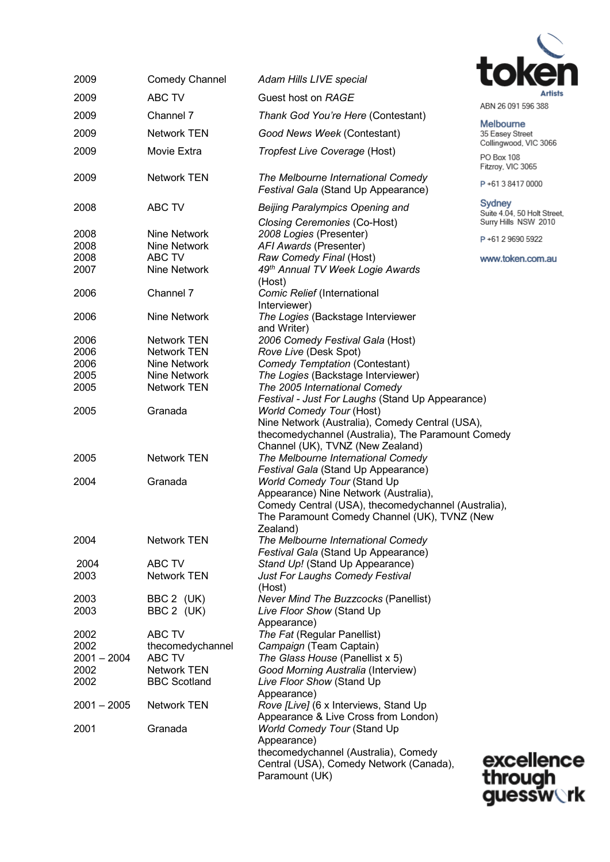

| 2009                                               | <b>Comedy Channel</b>  | Adam Hills LIVE special                                                                                                                                                                                                                                                                                                                                                                                                  |                                                               |
|----------------------------------------------------|------------------------|--------------------------------------------------------------------------------------------------------------------------------------------------------------------------------------------------------------------------------------------------------------------------------------------------------------------------------------------------------------------------------------------------------------------------|---------------------------------------------------------------|
| 2009                                               | ABC TV                 | Guest host on RAGE                                                                                                                                                                                                                                                                                                                                                                                                       | Artists                                                       |
| 2009                                               | Channel 7              | Thank God You're Here (Contestant)                                                                                                                                                                                                                                                                                                                                                                                       | ABN 26 091 596 388                                            |
| 2009                                               | <b>Network TEN</b>     | Good News Week (Contestant)                                                                                                                                                                                                                                                                                                                                                                                              | <b>Melbourne</b><br>35 Easey Street<br>Collingwood, VIC 3066  |
| 2009                                               | Movie Extra            | Tropfest Live Coverage (Host)                                                                                                                                                                                                                                                                                                                                                                                            | PO Box 108<br>Fitzroy, VIC 3065                               |
| 2009                                               | <b>Network TEN</b>     | The Melbourne International Comedy<br>Festival Gala (Stand Up Appearance)                                                                                                                                                                                                                                                                                                                                                | P+61384170000                                                 |
| 2008                                               | <b>ABC TV</b>          | <b>Beijing Paralympics Opening and</b><br>Closing Ceremonies (Co-Host)                                                                                                                                                                                                                                                                                                                                                   | Sydney<br>Suite 4.04, 50 Holt Street,<br>Surry Hills NSW 2010 |
| 2008                                               | Nine Network           | 2008 Logies (Presenter)                                                                                                                                                                                                                                                                                                                                                                                                  |                                                               |
| 2008                                               | Nine Network           | AFI Awards (Presenter)                                                                                                                                                                                                                                                                                                                                                                                                   | P+61 2 9690 5922                                              |
| 2008                                               | ABC TV                 | Raw Comedy Final (Host)                                                                                                                                                                                                                                                                                                                                                                                                  | www.token.com.au                                              |
| 2007                                               | Nine Network           | 49th Annual TV Week Logie Awards                                                                                                                                                                                                                                                                                                                                                                                         |                                                               |
| 2006                                               | Channel 7              | (Host)<br>Comic Relief (International<br>Interviewer)                                                                                                                                                                                                                                                                                                                                                                    |                                                               |
| 2006                                               | Nine Network           | The Logies (Backstage Interviewer<br>and Writer)                                                                                                                                                                                                                                                                                                                                                                         |                                                               |
| 2006                                               | <b>Network TEN</b>     | 2006 Comedy Festival Gala (Host)                                                                                                                                                                                                                                                                                                                                                                                         |                                                               |
| 2006                                               | <b>Network TEN</b>     | Rove Live (Desk Spot)                                                                                                                                                                                                                                                                                                                                                                                                    |                                                               |
| 2006                                               | Nine Network           | Comedy Temptation (Contestant)                                                                                                                                                                                                                                                                                                                                                                                           |                                                               |
| 2005                                               | Nine Network           | The Logies (Backstage Interviewer)                                                                                                                                                                                                                                                                                                                                                                                       |                                                               |
| 2005                                               | <b>Network TEN</b>     | The 2005 International Comedy                                                                                                                                                                                                                                                                                                                                                                                            |                                                               |
| <b>World Comedy Tour (Host)</b><br>2005<br>Granada |                        | Festival - Just For Laughs (Stand Up Appearance)                                                                                                                                                                                                                                                                                                                                                                         |                                                               |
| 2005<br>2004                                       | Network TEN<br>Granada | Nine Network (Australia), Comedy Central (USA),<br>thecomedychannel (Australia), The Paramount Comedy<br>Channel (UK), TVNZ (New Zealand)<br>The Melbourne International Comedy<br>Festival Gala (Stand Up Appearance)<br><b>World Comedy Tour (Stand Up</b><br>Appearance) Nine Network (Australia),<br>Comedy Central (USA), thecomedychannel (Australia),<br>The Paramount Comedy Channel (UK), TVNZ (New<br>Zealand) |                                                               |
| 2004                                               | <b>Network TEN</b>     | The Melbourne International Comedy<br>Festival Gala (Stand Up Appearance)                                                                                                                                                                                                                                                                                                                                                |                                                               |
| 2004                                               | ABC TV                 | Stand Up! (Stand Up Appearance)                                                                                                                                                                                                                                                                                                                                                                                          |                                                               |
| 2003                                               | Network TEN            | Just For Laughs Comedy Festival<br>(Host)                                                                                                                                                                                                                                                                                                                                                                                |                                                               |
| 2003                                               | BBC 2 (UK)             | <b>Never Mind The Buzzcocks (Panellist)</b>                                                                                                                                                                                                                                                                                                                                                                              |                                                               |
| 2003                                               | BBC 2 (UK)             | Live Floor Show (Stand Up                                                                                                                                                                                                                                                                                                                                                                                                |                                                               |
|                                                    |                        | Appearance)                                                                                                                                                                                                                                                                                                                                                                                                              |                                                               |
| 2002                                               | ABC TV                 | The Fat (Regular Panellist)                                                                                                                                                                                                                                                                                                                                                                                              |                                                               |
| 2002                                               | thecomedychannel       | Campaign (Team Captain)                                                                                                                                                                                                                                                                                                                                                                                                  |                                                               |
| $2001 - 2004$                                      | ABC TV                 | The Glass House (Panellist x 5)                                                                                                                                                                                                                                                                                                                                                                                          |                                                               |
| 2002                                               | Network TEN            | Good Morning Australia (Interview)                                                                                                                                                                                                                                                                                                                                                                                       |                                                               |
| 2002                                               | <b>BBC Scotland</b>    | Live Floor Show (Stand Up<br>Appearance)                                                                                                                                                                                                                                                                                                                                                                                 |                                                               |
| $2001 - 2005$                                      | <b>Network TEN</b>     | Rove [Live] (6 x Interviews, Stand Up<br>Appearance & Live Cross from London)                                                                                                                                                                                                                                                                                                                                            |                                                               |
| 2001                                               | Granada                | <b>World Comedy Tour (Stand Up</b><br>Appearance)                                                                                                                                                                                                                                                                                                                                                                        |                                                               |
|                                                    |                        | thecomedychannel (Australia), Comedy                                                                                                                                                                                                                                                                                                                                                                                     | excelleno                                                     |
|                                                    |                        | Central (USA), Comedy Network (Canada),<br>Paramount (UK)                                                                                                                                                                                                                                                                                                                                                                | throuah                                                       |

excellence<br>through<br>guessw**o**rk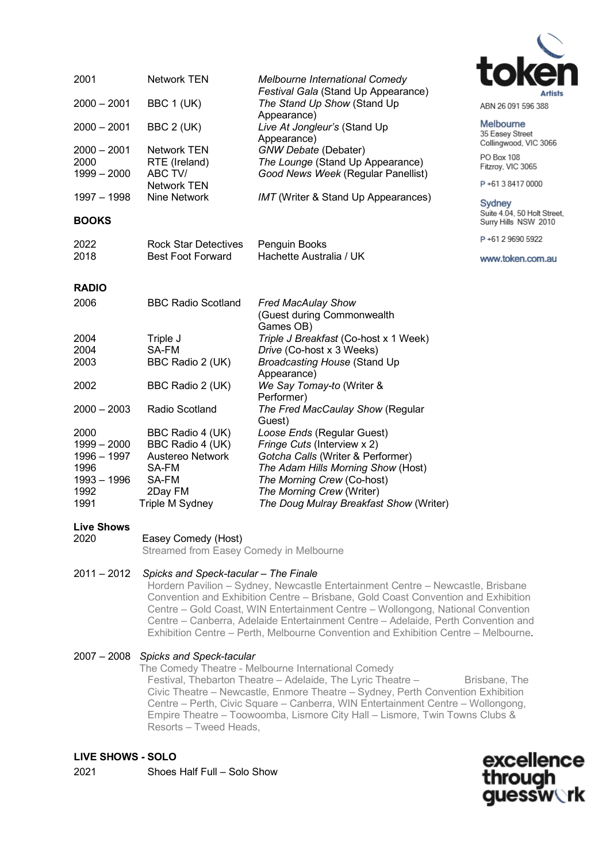

Melbourne 35 Easey Street Collingwood, VIC 3066

PO Box 108 Fitzroy, VIC 3065 P+61384170000

Sydney

Suite 4.04, 50 Holt Street, Surry Hills NSW 2010 P+61 2 9690 5922

www.token.com.au

2000 – 2001 BBC 1 (UK) *The Stand Up Show* (Stand Up Appearance) 2000 – 2001 BBC 2 (UK) *Live At Jongleur's* (Stand Up Appearance) 2000 – 2001 Network TEN *GNW Debate* (Debater) 2000 RTE (Ireland) *The Lounge* (Stand Up Appearance) 1999 – 2000 ABC TV/ *Good News Week* (Regular Panellist) Network TEN<br>1997 – 1998 Mine Network Nine Network *IMT* (Writer & Stand Up Appearances) **BOOKS** 2022 Rock Star Detectives Penguin Books 2018 Best Foot Forward Hachette Australia / UK **RADIO** 2006 BBC Radio Scotland *Fred MacAulay Show* (Guest during Commonwealth Games OB) 2004 Triple J *Triple J Breakfast* (Co-host x 1 Week) 2004 SA-FM *Drive* (Co-host x 3 Weeks) 2003 BBC Radio 2 (UK) *Broadcasting House* (Stand Up Appearance) 2002 BBC Radio 2 (UK) *We Say Tomay-to* (Writer & Performer) 2000 – 2003 Radio Scotland *The Fred MacCaulay Show* (Regular Guest) 2000 BBC Radio 4 (UK) *Loose Ends* (Regular Guest) 1999 – 2000 BBC Radio 4 (UK) *Fringe Cuts* (Interview x 2) 1996 – 1997 Austereo Network *Gotcha Calls* (Writer & Performer) 1996 SA-FM *The Adam Hills Morning Show* (Host) 1993 – 1996 SA-FM *The Morning Crew* (Co-host) 1992 2Day FM *The Morning Crew* (Writer) **The Doug Mulray Breakfast Show (Writer)** 

2001 Network TEN *Melbourne International Comedy* 

#### **Live Shows**

| 2020 | Easey Comedy (Host) |
|------|---------------------|
|      |                     |

Streamed from Easey Comedy in Melbourne

#### 2011 – 2012 *Spicks and Speck-tacular – The Finale*

Hordern Pavilion – Sydney, Newcastle Entertainment Centre – Newcastle, Brisbane Convention and Exhibition Centre – Brisbane, Gold Coast Convention and Exhibition Centre – Gold Coast, WIN Entertainment Centre – Wollongong, National Convention Centre – Canberra, Adelaide Entertainment Centre – Adelaide, Perth Convention and Exhibition Centre – Perth, Melbourne Convention and Exhibition Centre – Melbourne.

*Festival Gala* (Stand Up Appearance)

#### 2007 – 2008 *Spicks and Speck-tacular*

The Comedy Theatre - Melbourne International Comedy

Festival, Thebarton Theatre – Adelaide, The Lyric Theatre – Brisbane, The Civic Theatre – Newcastle, Enmore Theatre – Sydney, Perth Convention Exhibition Centre – Perth, Civic Square – Canberra, WIN Entertainment Centre – Wollongong, Empire Theatre – Toowoomba, Lismore City Hall – Lismore, Twin Towns Clubs & Resorts – Tweed Heads,

## **LIVE SHOWS - SOLO**

2021 Shoes Half Full – Solo Show

excellence through **auessw\`rk**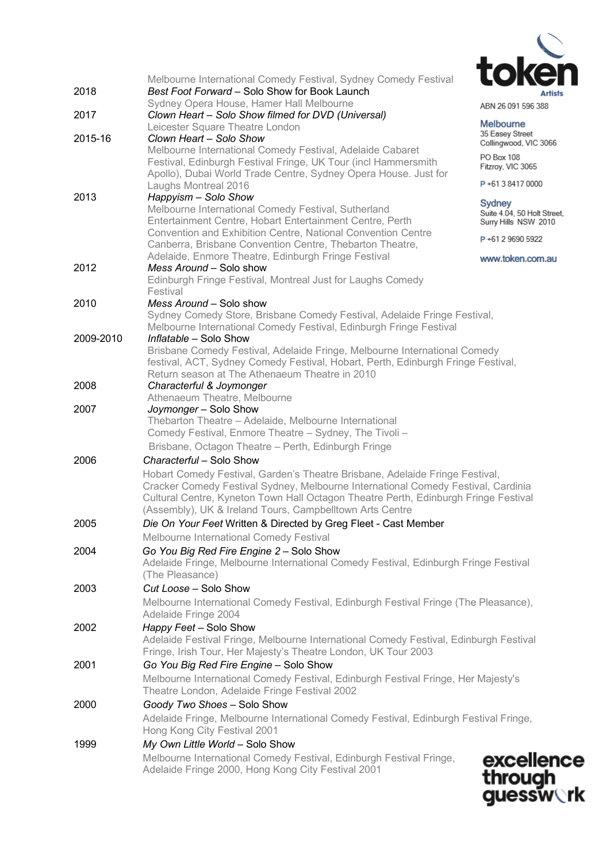

|           | Melbourne International Comedy Festival, Sydney Comedy Festival                                                 | LUNGI                                    |
|-----------|-----------------------------------------------------------------------------------------------------------------|------------------------------------------|
| 2018      | Best Foot Forward - Solo Show for Book Launch                                                                   | <b>Artists</b>                           |
| 2017      | Sydney Opera House, Hamer Hall Melbourne<br>Clown Heart - Solo Show filmed for DVD (Universal)                  | ABN 26 091 596 388                       |
|           | Leicester Square Theatre London                                                                                 | <b>Melbourne</b>                         |
| 2015-16   | Clown Heart – Solo Show                                                                                         | 35 Easey Street<br>Collingwood, VIC 3066 |
|           | Melbourne International Comedy Festival, Adelaide Cabaret                                                       | PO Box 108                               |
|           | Festival, Edinburgh Festival Fringe, UK Tour (incl Hammersmith                                                  | Fitzroy, VIC 3065                        |
|           | Apollo), Dubai World Trade Centre, Sydney Opera House. Just for                                                 | P+61384170000                            |
| 2013      | Laughs Montreal 2016<br>Happyism - Solo Show                                                                    |                                          |
|           | Melbourne International Comedy Festival, Sutherland                                                             | Sydney<br>Suite 4.04, 50 Holt Street,    |
|           | Entertainment Centre, Hobart Entertainment Centre, Perth                                                        | Surry Hills NSW 2010                     |
|           | Convention and Exhibition Centre, National Convention Centre                                                    | P+61 2 9690 5922                         |
|           | Canberra, Brisbane Convention Centre, Thebarton Theatre,                                                        |                                          |
| 2012      | Adelaide, Enmore Theatre, Edinburgh Fringe Festival<br>Mess Around – Solo show                                  | www.token.com.au                         |
|           | Edinburgh Fringe Festival, Montreal Just for Laughs Comedy                                                      |                                          |
|           | Festival                                                                                                        |                                          |
| 2010      | Mess Around – Solo show                                                                                         |                                          |
|           | Sydney Comedy Store, Brisbane Comedy Festival, Adelaide Fringe Festival,                                        |                                          |
|           | Melbourne International Comedy Festival, Edinburgh Fringe Festival                                              |                                          |
| 2009-2010 | Inflatable - Solo Show<br>Brisbane Comedy Festival, Adelaide Fringe, Melbourne International Comedy             |                                          |
|           | festival, ACT, Sydney Comedy Festival, Hobart, Perth, Edinburgh Fringe Festival,                                |                                          |
|           | Return season at The Athenaeum Theatre in 2010                                                                  |                                          |
| 2008      | Characterful & Joymonger                                                                                        |                                          |
|           | Athenaeum Theatre, Melbourne                                                                                    |                                          |
| 2007      | Joymonger - Solo Show                                                                                           |                                          |
|           | Thebarton Theatre - Adelaide, Melbourne International<br>Comedy Festival, Enmore Theatre - Sydney, The Tivoli - |                                          |
|           | Brisbane, Octagon Theatre - Perth, Edinburgh Fringe                                                             |                                          |
| 2006      | Characterful - Solo Show                                                                                        |                                          |
|           | Hobart Comedy Festival, Garden's Theatre Brisbane, Adelaide Fringe Festival,                                    |                                          |
|           | Cracker Comedy Festival Sydney, Melbourne International Comedy Festival, Cardinia                               |                                          |
|           | Cultural Centre, Kyneton Town Hall Octagon Theatre Perth, Edinburgh Fringe Festival                             |                                          |
|           | (Assembly), UK & Ireland Tours, Campbelltown Arts Centre                                                        |                                          |
| 2005      | Die On Your Feet Written & Directed by Greg Fleet - Cast Member                                                 |                                          |
|           | Melbourne International Comedy Festival                                                                         |                                          |
| 2004      | Go You Big Red Fire Engine 2 - Solo Show                                                                        |                                          |
|           | Adelaide Fringe, Melbourne International Comedy Festival, Edinburgh Fringe Festival                             |                                          |
| 2003      | (The Pleasance)<br>Cut Loose - Solo Show                                                                        |                                          |
|           |                                                                                                                 |                                          |
|           | Melbourne International Comedy Festival, Edinburgh Festival Fringe (The Pleasance),<br>Adelaide Fringe 2004     |                                          |
| 2002      | Happy Feet - Solo Show                                                                                          |                                          |
|           | Adelaide Festival Fringe, Melbourne International Comedy Festival, Edinburgh Festival                           |                                          |
|           | Fringe, Irish Tour, Her Majesty's Theatre London, UK Tour 2003                                                  |                                          |
| 2001      | Go You Big Red Fire Engine - Solo Show                                                                          |                                          |
|           | Melbourne International Comedy Festival, Edinburgh Festival Fringe, Her Majesty's                               |                                          |
|           | Theatre London, Adelaide Fringe Festival 2002                                                                   |                                          |
| 2000      | Goody Two Shoes - Solo Show                                                                                     |                                          |
|           | Adelaide Fringe, Melbourne International Comedy Festival, Edinburgh Festival Fringe,                            |                                          |
|           | Hong Kong City Festival 2001                                                                                    |                                          |
| 1999      | My Own Little World - Solo Show                                                                                 |                                          |
|           | Melbourne International Comedy Festival, Edinburgh Festival Fringe,                                             | excellen                                 |

Adelaide Fringe 2000, Hong Kong City Festival 2001

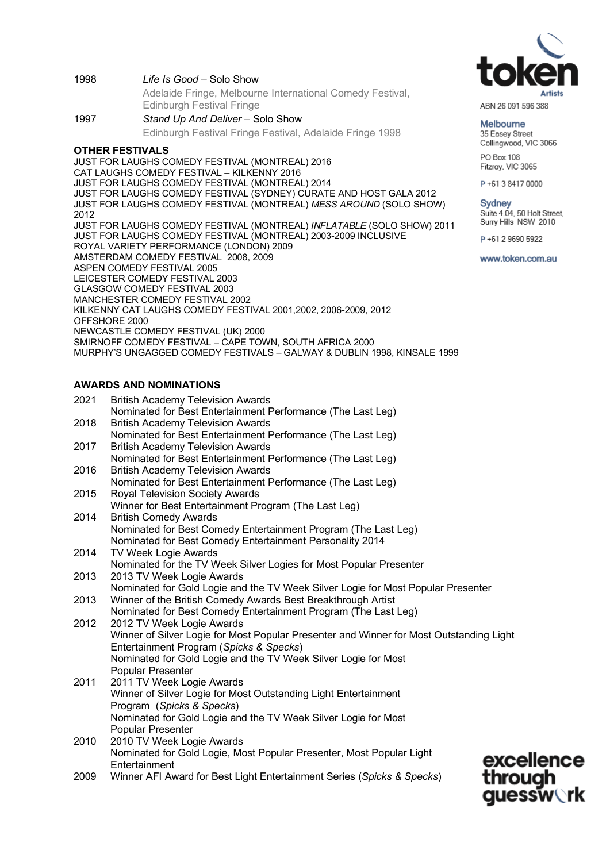1998 *Life Is Good* – Solo Show

Adelaide Fringe, Melbourne International Comedy Festival, Edinburgh Festival Fringe

1997 *Stand Up And Deliver* – Solo Show Edinburgh Festival Fringe Festival, Adelaide Fringe 1998

## **OTHER FESTIVALS**

JUST FOR LAUGHS COMEDY FESTIVAL (MONTREAL) 2016 CAT LAUGHS COMEDY FESTIVAL – KILKENNY 2016 JUST FOR LAUGHS COMEDY FESTIVAL (MONTREAL) 2014 JUST FOR LAUGHS COMEDY FESTIVAL (SYDNEY) CURATE AND HOST GALA 2012 JUST FOR LAUGHS COMEDY FESTIVAL (MONTREAL) *MESS AROUND* (SOLO SHOW) 2012 JUST FOR LAUGHS COMEDY FESTIVAL (MONTREAL) *INFLATABLE* (SOLO SHOW) 2011 JUST FOR LAUGHS COMEDY FESTIVAL (MONTREAL) 2003-2009 INCLUSIVE ROYAL VARIETY PERFORMANCE (LONDON) 2009 AMSTERDAM COMEDY FESTIVAL 2008, 2009 ASPEN COMEDY FESTIVAL 2005 LEICESTER COMEDY FESTIVAL 2003 GLASGOW COMEDY FESTIVAL 2003 MANCHESTER COMEDY FESTIVAL 2002 KILKENNY CAT LAUGHS COMEDY FESTIVAL 2001,2002, 2006-2009, 2012 OFFSHORE 2000 NEWCASTLE COMEDY FESTIVAL (UK) 2000 SMIRNOFF COMEDY FESTIVAL – CAPE TOWN, SOUTH AFRICA 2000 MURPHY'S UNGAGGED COMEDY FESTIVALS – GALWAY & DUBLIN 1998, KINSALE 1999

# **AWARDS AND NOMINATIONS**

| 2021 | <b>British Academy Television Awards</b><br>Nominated for Best Entertainment Performance (The Last Leg) |
|------|---------------------------------------------------------------------------------------------------------|
| 2018 | <b>British Academy Television Awards</b>                                                                |
|      | Nominated for Best Entertainment Performance (The Last Leg)                                             |
| 2017 | <b>British Academy Television Awards</b>                                                                |
|      | Nominated for Best Entertainment Performance (The Last Leg)                                             |
| 2016 | <b>British Academy Television Awards</b>                                                                |
|      | Nominated for Best Entertainment Performance (The Last Leg)                                             |
| 2015 | <b>Royal Television Society Awards</b>                                                                  |
|      | Winner for Best Entertainment Program (The Last Leg)                                                    |
| 2014 | <b>British Comedy Awards</b>                                                                            |
|      | Nominated for Best Comedy Entertainment Program (The Last Leg)                                          |
|      | Nominated for Best Comedy Entertainment Personality 2014                                                |
| 2014 | <b>TV Week Logie Awards</b>                                                                             |
|      | Nominated for the TV Week Silver Logies for Most Popular Presenter                                      |
| 2013 | 2013 TV Week Logie Awards                                                                               |
|      | Nominated for Gold Logie and the TV Week Silver Logie for Most Popular Presenter                        |
| 2013 | Winner of the British Comedy Awards Best Breakthrough Artist                                            |
|      | Nominated for Best Comedy Entertainment Program (The Last Leg)                                          |
| 2012 | 2012 TV Week Logie Awards                                                                               |
|      | Winner of Silver Logie for Most Popular Presenter and Winner for Most Outstanding Light                 |
|      | Entertainment Program (Spicks & Specks)                                                                 |
|      | Nominated for Gold Logie and the TV Week Silver Logie for Most<br>Popular Presenter                     |
| 2011 | 2011 TV Week Logie Awards                                                                               |
|      | Winner of Silver Logie for Most Outstanding Light Entertainment                                         |
|      | Program (Spicks & Specks)                                                                               |
|      | Nominated for Gold Logie and the TV Week Silver Logie for Most                                          |
|      | <b>Popular Presenter</b>                                                                                |
| 2010 | 2010 TV Week Logie Awards                                                                               |
|      | Nominated for Gold Logie, Most Popular Presenter, Most Popular Light                                    |
|      | excellence<br>Entertainment                                                                             |
| 2009 | through<br>Winner AFI Award for Best Light Entertainment Series (Spicks & Specks)                       |
|      | <b>auessw\rk</b>                                                                                        |
|      |                                                                                                         |



ABN 26 091 596 388

Melbourne 35 Easey Street Collingwood, VIC 3066

PO Box 108 Fitzroy, VIC 3065

P+61384170000

#### Sydney

Suite 4.04, 50 Holt Street, Surry Hills NSW 2010

P+61 2 9690 5922

www.token.com.au